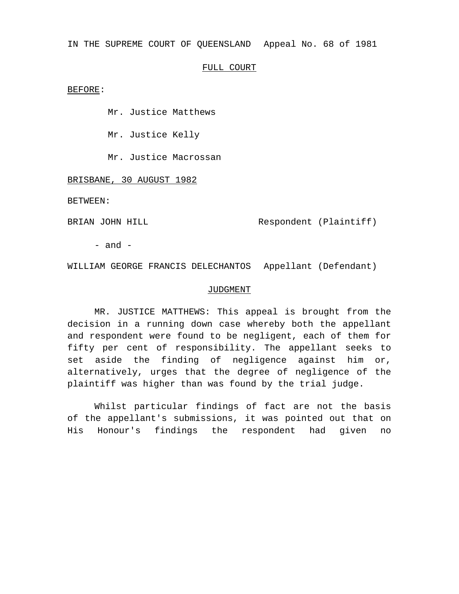IN THE SUPREME COURT OF QUEENSLAND Appeal No. 68 of 1981

## FULL COURT

BEFORE:

Mr. Justice Matthews

Mr. Justice Kelly

Mr. Justice Macrossan

BRISBANE, 30 AUGUST 1982

BETWEEN:

BRIAN JOHN HILL Respondent (Plaintiff)

- and -

WILLIAM GEORGE FRANCIS DELECHANTOS Appellant (Defendant)

## JUDGMENT

MR. JUSTICE MATTHEWS: This appeal is brought from the decision in a running down case whereby both the appellant and respondent were found to be negligent, each of them for fifty per cent of responsibility. The appellant seeks to set aside the finding of negligence against him or, alternatively, urges that the degree of negligence of the plaintiff was higher than was found by the trial judge.

Whilst particular findings of fact are not the basis of the appellant's submissions, it was pointed out that on His Honour's findings the respondent had given no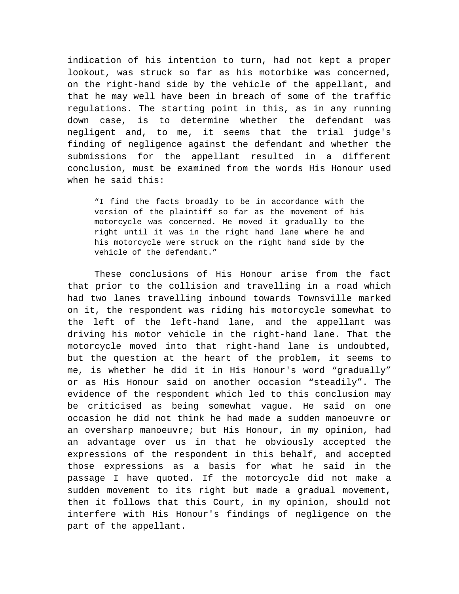indication of his intention to turn, had not kept a proper lookout, was struck so far as his motorbike was concerned, on the right-hand side by the vehicle of the appellant, and that he may well have been in breach of some of the traffic regulations. The starting point in this, as in any running down case, is to determine whether the defendant was negligent and, to me, it seems that the trial judge's finding of negligence against the defendant and whether the submissions for the appellant resulted in a different conclusion, must be examined from the words His Honour used when he said this:

"I find the facts broadly to be in accordance with the version of the plaintiff so far as the movement of his motorcycle was concerned. He moved it gradually to the right until it was in the right hand lane where he and his motorcycle were struck on the right hand side by the vehicle of the defendant."

These conclusions of His Honour arise from the fact that prior to the collision and travelling in a road which had two lanes travelling inbound towards Townsville marked on it, the respondent was riding his motorcycle somewhat to the left of the left-hand lane, and the appellant was driving his motor vehicle in the right-hand lane. That the motorcycle moved into that right-hand lane is undoubted, but the question at the heart of the problem, it seems to me, is whether he did it in His Honour's word "gradually" or as His Honour said on another occasion "steadily". The evidence of the respondent which led to this conclusion may be criticised as being somewhat vague. He said on one occasion he did not think he had made a sudden manoeuvre or an oversharp manoeuvre; but His Honour, in my opinion, had an advantage over us in that he obviously accepted the expressions of the respondent in this behalf, and accepted those expressions as a basis for what he said in the passage I have quoted. If the motorcycle did not make a sudden movement to its right but made a gradual movement, then it follows that this Court, in my opinion, should not interfere with His Honour's findings of negligence on the part of the appellant.